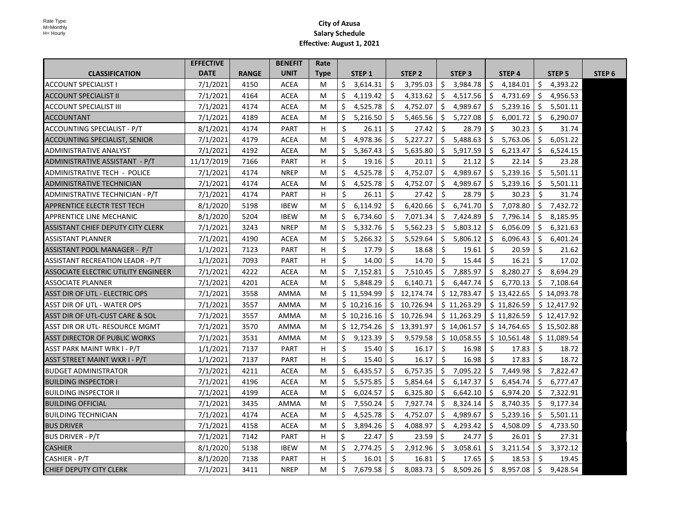|                                       | <b>EFFECTIVE</b> |              | <b>BENEFIT</b> | Rate        |    |                   |     |                   |      |                   |    |             |     |                   |                   |
|---------------------------------------|------------------|--------------|----------------|-------------|----|-------------------|-----|-------------------|------|-------------------|----|-------------|-----|-------------------|-------------------|
| <b>CLASSIFICATION</b>                 | <b>DATE</b>      | <b>RANGE</b> | <b>UNIT</b>    | <b>Type</b> |    | STEP <sub>1</sub> |     | STEP <sub>2</sub> |      | STEP <sub>3</sub> |    | STEP 4      |     | STEP <sub>5</sub> | STEP <sub>6</sub> |
| <b>ACCOUNT SPECIALIST I</b>           | 7/1/2021         | 4150         | <b>ACEA</b>    | M           | \$ | 3,614.31          | \$  | 3,795.03          | \$   | 3,984.78          | \$ | 4,184.01    | \$  | 4,393.22          |                   |
| <b>ACCOUNT SPECIALIST II</b>          | 7/1/2021         | 4164         | <b>ACEA</b>    | М           | \$ | 4,119.42          | \$  | 4,313.62          | S.   | 4,517.56          | \$ | 4,731.69    | \$  | 4,956.53          |                   |
| ACCOUNT SPECIALIST III                | 7/1/2021         | 4174         | <b>ACEA</b>    | M           | \$ | 4,525.78          | Ŝ.  | 4,752.07          | Ŝ.   | 4,989.67          | \$ | 5,239.16    | S.  | 5,501.11          |                   |
| <b>ACCOUNTANT</b>                     | 7/1/2021         | 4189         | <b>ACEA</b>    | M           | \$ | 5,216.50          | \$  | 5,465.56          | \$   | 5,727.08          | \$ | 6,001.72    | \$  | 6,290.07          |                   |
| ACCOUNTING SPECIALIST - P/T           | 8/1/2021         | 4174         | <b>PART</b>    | H           | Ŝ. | 26.11             | Ŝ.  | 27.42             | Ŝ.   | 28.79             | Ŝ. | 30.23       | Ŝ.  | 31.74             |                   |
| <b>ACCOUNTING SPECIALIST, SENIOR</b>  | 7/1/2021         | 4179         | <b>ACEA</b>    | M           | \$ | 4,978.36          | Ŝ.  | 5,227.27          | \$   | 5,488.63          | \$ | 5,763.06    | Ŝ.  | 6,051.22          |                   |
| <b>ADMINISTRATIVE ANALYST</b>         | 7/1/2021         | 4192         | ACEA           | M           | \$ | 5,367.43          | Ŝ.  | 5,635.80          | Ŝ.   | 5,917.59          | \$ | 6,213.47    | Ś.  | 6,524.15          |                   |
| ADMINISTRATIVE ASSISTANT - P/T        | 11/17/2019       | 7166         | <b>PART</b>    | н           | Ŝ. | 19.16             | Ŝ.  | 20.11             | Ŝ.   | 21.12             | Ŝ. | 22.14       | Ŝ.  | 23.28             |                   |
| <b>ADMINISTRATIVE TECH - POLICE</b>   | 7/1/2021         | 4174         | <b>NREP</b>    | M           | \$ | 4,525.78          | Ŝ.  | 4,752.07          | Ŝ.   | 4,989.67          | Ŝ. | 5,239.16    | S.  | 5,501.11          |                   |
| ADMINISTRATIVE TECHNICIAN             | 7/1/2021         | 4174         | <b>ACEA</b>    | M           | \$ | 4,525.78          | Ŝ.  | 4,752.07          | Ŝ.   | 4,989.67          | Ŝ. | 5,239.16    | Ŝ.  | 5,501.11          |                   |
| ADMINISTRATIVE TECHNICIAN - P/T       | 7/1/2021         | 4174         | <b>PART</b>    | н           | Ŝ. | 26.11             | Ŝ.  | 27.42             | Ŝ.   | 28.79             | Ŝ. | 30.23       | Š.  | 31.74             |                   |
| APPRENTICE ELECTR TEST TECH           | 8/1/2020         | 5198         | <b>IBEW</b>    | M           | \$ | 6,114.92          | Ŝ.  | 6,420.66          | Ŝ.   | 6,741.70          | Ŝ. | 7,078.80    |     | $5$ 7,432.72      |                   |
| APPRENTICE LINE MECHANIC              | 8/1/2020         | 5204         | <b>IBEW</b>    | M           | \$ | 6,734.60          | Ŝ.  | 7,071.34          | Ŝ.   | 7,424.89          | Ŝ. | 7,796.14    | Ś.  | 8,185.95          |                   |
| ASSISTANT CHIEF DEPUTY CITY CLERK     | 7/1/2021         | 3243         | <b>NREP</b>    | M           | Ŝ. | 5,332.76          | Ŝ.  | 5,562.23          | Ŝ.   | 5,803.12          | Ŝ. | 6,056.09    | Ŝ.  | 6,321.63          |                   |
| <b>ASSISTANT PLANNER</b>              | 7/1/2021         | 4190         | <b>ACEA</b>    | M           | \$ | 5,266.32          | Ŝ.  | 5,529.64          | Ŝ    | 5,806.12          | Ŝ. | 6,096.43    | Ŝ.  | 6,401.24          |                   |
| ASSISTANT POOL MANAGER - P/T          | 1/1/2021         | 7123         | PART           | н           | \$ | 17.79             | \$  | 18.68             | \$   | 19.61             | Ŝ. | 20.59       | Ś.  | 21.62             |                   |
| ASSISTANT RECREATION LEADR - P/T      | 1/1/2021         | 7093         | <b>PART</b>    | H           | Ś. | 14.00             | Ŝ.  | 14.70             | Ŝ.   | 15.44             | Ŝ. | 16.21       | Ŝ.  | 17.02             |                   |
| ASSOCIATE ELECTRIC UTILITY ENGINEER   | 7/1/2021         | 4222         | <b>ACEA</b>    | М           | \$ | 7,152.81          | Ŝ.  | 7,510.45          | \$   | 7,885.97          | \$ | 8,280.27    |     | \$8,694.29        |                   |
| <b>ASSOCIATE PLANNER</b>              | 7/1/2021         | 4201         | <b>ACEA</b>    | М           | \$ | 5,848.29          | Ŝ.  | 6,140.71          | Ŝ.   | 6,447.74          | Ŝ. | 6,770.13    |     | \$7,108.64        |                   |
| <b>ASST DIR OF UTL - ELECTRIC OPS</b> | 7/1/2021         | 3558         | <b>AMMA</b>    | M           |    | \$11,594.99       |     | \$12,174.74       |      | \$12,783.47       |    | \$13,422.65 |     | \$14,093.78       |                   |
| ASST DIR OF UTL - WATER OPS           | 7/1/2021         | 3557         | AMMA           | M           |    | \$10,216.16       |     | \$10,726.94       |      | \$11,263.29       |    | \$11,826.59 |     | \$12,417.92       |                   |
| ASST DIR OF UTL-CUST CARE & SOL       | 7/1/2021         | 3557         | AMMA           | M           |    | \$10,216.16       |     | \$10,726.94       |      | \$11,263.29       |    | \$11,826.59 |     | \$12,417.92       |                   |
| ASST DIR OR UTL- RESOURCE MGMT        | 7/1/2021         | 3570         | AMMA           | M           |    | \$12,754.26       |     | \$13,391.97       |      | \$14,061.57       |    | \$14,764.65 |     | \$15,502.88       |                   |
| ASST DIRECTOR OF PUBLIC WORKS         | 7/1/2021         | 3531         | AMMA           | M           | \$ | 9,123.39          | S.  | 9,579.58          |      | \$10,058.55       |    | \$10,561.48 |     | \$11,089.54       |                   |
| ASST PARK MAINT WRK I - P/T           | 1/1/2021         | 7137         | PART           | н           | \$ | 15.40             | \$  | 16.17             | S.   | 16.98             | \$ | 17.83       | \$  | 18.72             |                   |
| ASST STREET MAINT WKR I - P/T         | 1/1/2021         | 7137         | PART           | н           | Ŝ. | 15.40             | Ŝ.  | 16.17             | Ŝ.   | 16.98             | Ŝ. | 17.83       | Ŝ.  | 18.72             |                   |
| <b>BUDGET ADMINISTRATOR</b>           | 7/1/2021         | 4211         | <b>ACEA</b>    | M           | \$ | 6,435.57          | Ŝ.  | 6,757.35          | Ŝ.   | 7,095.22          | \$ | 7,449.98    |     | \$7,822.47        |                   |
| <b>BUILDING INSPECTOR I</b>           | 7/1/2021         | 4196         | <b>ACEA</b>    | M           | \$ | 5,575.85          | \$  | 5,854.64          | -\$  | 6,147.37          | \$ | 6,454.74    | Ŝ.  | 6,777.47          |                   |
| <b>BUILDING INSPECTOR II</b>          | 7/1/2021         | 4199         | <b>ACEA</b>    | M           | \$ | 6,024.57          | Ŝ.  | 6,325.80          | - \$ | 6,642.10          | Ŝ. | 6,974.20    | S.  | 7,322.91          |                   |
| <b>BUILDING OFFICIAL</b>              | 7/1/2021         | 3435         | AMMA           | М           | \$ | 7,550.24          | \$. | 7,927.74          | \$   | 8,324.14          | \$ | 8,740.35    | \$. | 9,177.34          |                   |
| <b>BUILDING TECHNICIAN</b>            | 7/1/2021         | 4174         | <b>ACEA</b>    | М           | \$ | 4,525.78          | \$  | 4,752.07          | -\$  | 4,989.67          | \$ | 5,239.16    | Ŝ.  | 5,501.11          |                   |
| <b>BUS DRIVER</b>                     | 7/1/2021         | 4158         | <b>ACEA</b>    | М           | \$ | 3,894.26          | Ŝ.  | 4,088.97          | S.   | 4,293.42          | Ŝ. | 4,508.09    | Ŝ.  | 4,733.50          |                   |
| <b>BUS DRIVER - P/T</b>               | 7/1/2021         | 7142         | PART           | н           | Ś. | 22.47             | Ŝ.  | 23.59             | S.   | 24.77             | \$ | 26.01       | Ŝ.  | 27.31             |                   |
| <b>CASHIER</b>                        | 8/1/2020         | 5138         | <b>IBEW</b>    | М           | \$ | 2,774.25          | \$. | 2,912.96          | \$   | 3,058.61          | \$ | 3,211.54    | S.  | 3,372.12          |                   |
| CASHIER - P/T                         | 8/1/2020         | 7138         | PART           | н           | Ŝ. | 16.01             | Ŝ.  | 16.81             | Ŝ.   | 17.65             | Ŝ. | 18.53       | Ś.  | 19.45             |                   |
| ICHIEF DEPUTY CITY CLERK              | 7/1/2021         | 3411         | <b>NREP</b>    | M           | \$ | 7,679.58          | \$  | 8,083.73          | \$   | 8,509.26          | \$ | 8,957.08    | \$  | 9,428.54          |                   |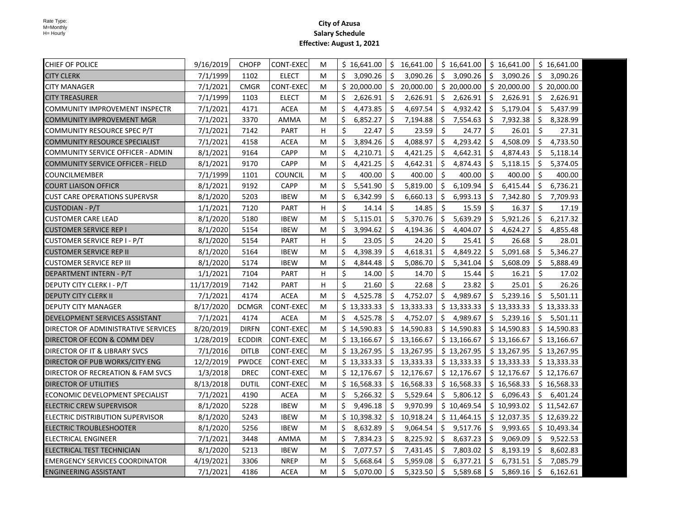| CHIEF OF POLICE                          | 9/16/2019  | <b>CHOFP</b>  | <b>CONT-EXEC</b> | M | \$16,641.00       | Ŝ.  | 16,641.00   |     | \$16,641.00 |    | \$16,641.00 |     | \$16,641.00 |
|------------------------------------------|------------|---------------|------------------|---|-------------------|-----|-------------|-----|-------------|----|-------------|-----|-------------|
| <b>CITY CLERK</b>                        | 7/1/1999   | 1102          | <b>ELECT</b>     | M | \$<br>3,090.26    | Ŝ.  | 3,090.26    |     | \$3,090.26  | \$ | 3,090.26    | Ŝ.  | 3,090.26    |
| <b>CITY MANAGER</b>                      | 7/1/2021   | <b>CMGR</b>   | <b>CONT-EXEC</b> | м | \$20,000.00       | \$  | 20,000.00   |     | \$20,000.00 |    | \$20,000.00 |     | \$20,000.00 |
| <b>CITY TREASURER</b>                    | 7/1/1999   | 1103          | <b>ELECT</b>     | м | \$<br>2,626.91    | Ŝ.  | 2,626.91    | \$  | 2,626.91    | \$ | 2,626.91    | Ŝ.  | 2,626.91    |
| COMMUNITY IMPROVEMENT INSPECTR           | 7/1/2021   | 4171          | <b>ACEA</b>      | М | \$<br>4,473.85    | Ŝ.  | 4,697.54    | \$  | 4,932.42    | \$ | 5,179.04    | \$  | 5,437.99    |
| <b>COMMUNITY IMPROVEMENT MGR</b>         | 7/1/2021   | 3370          | AMMA             | М | \$<br>6,852.27    | \$  | 7,194.88    | Ś.  | 7,554.63    | \$ | 7,932.38    | \$  | 8,328.99    |
| COMMUNITY RESOURCE SPEC P/T              | 7/1/2021   | 7142          | <b>PART</b>      | H | \$<br>22.47       | \$  | 23.59       | \$  | 24.77       | \$ | 26.01       | \$  | 27.31       |
| <b>COMMUNITY RESOURCE SPECIALIST</b>     | 7/1/2021   | 4158          | ACEA             | м | \$<br>3,894.26    | Ŝ.  | 4,088.97    | \$  | 4,293.42    | \$ | 4,508.09    | \$  | 4,733.50    |
| COMMUNITY SERVICE OFFICER - ADMIN        | 8/1/2021   | 9164          | <b>CAPP</b>      | М | \$<br>4,210.71    | Ŝ.  | 4,421.25    | \$  | 4,642.31    | \$ | 4,874.43    | \$  | 5,118.14    |
| <b>COMMUNITY SERVICE OFFICER - FIELD</b> | 8/1/2021   | 9170          | <b>CAPP</b>      | м | \$<br>4,421.25    | \$  | 4,642.31    | \$  | 4,874.43    | \$ | 5,118.15    | -\$ | 5,374.05    |
| <b>COUNCILMEMBER</b>                     | 7/1/1999   | 1101          | <b>COUNCIL</b>   | M | $\zeta$<br>400.00 | Ŝ.  | 400.00      | Ŝ.  | 400.00      | Ŝ. | 400.00      | -Ś  | 400.00      |
| <b>COURT LIAISON OFFICR</b>              | 8/1/2021   | 9192          | CAPP             | M | \$<br>5,541.90    | \$  | 5,819.00    | \$  | 6,109.94    | \$ | 6,415.44    | Ŝ.  | 6,736.21    |
| <b>CUST CARE OPERATIONS SUPERVSR</b>     | 8/1/2020   | 5203          | <b>IBEW</b>      | М | \$<br>6,342.99    | S.  | 6,660.13    | \$. | 6,993.13    | S. | 7,342.80    | -\$ | 7,709.93    |
| <b>CUSTODIAN - P/T</b>                   | 1/1/2021   | 7120          | <b>PART</b>      | H | \$<br>14.14       | Ś.  | 14.85       | Ŝ.  | 15.59       | \$ | 16.37       | \$  | 17.19       |
| <b>CUSTOMER CARE LEAD</b>                | 8/1/2020   | 5180          | <b>IBEW</b>      | М | \$<br>5,115.01    | \$  | 5,370.76    | \$  | 5,639.29    | \$ | 5,921.26    | \$  | 6,217.32    |
| <b>CUSTOMER SERVICE REP I</b>            | 8/1/2020   | 5154          | <b>IBEW</b>      | M | \$<br>3,994.62    | \$  | 4,194.36    | \$. | 4,404.07    | \$ | 4,624.27    | -\$ | 4,855.48    |
| CUSTOMER SERVICE REP I - P/T             | 8/1/2020   | 5154          | <b>PART</b>      | н | $\zeta$<br>23.05  | Ŝ.  | 24.20       | Ŝ.  | 25.41       | \$ | 26.68       | Ŝ.  | 28.01       |
| <b>CUSTOMER SERVICE REP II</b>           | 8/1/2020   | 5164          | <b>IBEW</b>      | M | \$<br>4,398.39    | Ŝ.  | 4,618.31    | \$  | 4,849.22    | \$ | 5,091.68    | Ŝ.  | 5,346.27    |
| <b>CUSTOMER SERVICE REP III</b>          | 8/1/2020   | 5174          | <b>IBEW</b>      | M | \$<br>4,844.48    | Ŝ.  | 5,086.70    | Ŝ.  | 5,341.04    | Ś. | 5,608.09    | -\$ | 5,888.49    |
| DEPARTMENT INTERN - P/T                  | 1/1/2021   | 7104          | <b>PART</b>      | H | $\zeta$<br>14.00  | Ŝ.  | 14.70       | Ŝ.  | 15.44       | Ŝ. | 16.21       | Ŝ.  | 17.02       |
| <b>DEPUTY CITY CLERK I - P/T</b>         | 11/17/2019 | 7142          | <b>PART</b>      | H | $\zeta$<br>21.60  | Ŝ.  | 22.68       | Ŝ.  | 23.82       | Ŝ. | 25.01       | Ŝ.  | 26.26       |
| <b>DEPUTY CITY CLERK II</b>              | 7/1/2021   | 4174          | <b>ACEA</b>      | M | Ŝ.<br>4,525.78    | Ŝ.  | 4,752.07    |     | \$4,989.67  |    | \$5,239.16  | Ŝ.  | 5,501.11    |
| <b>DEPUTY CITY MANAGER</b>               | 8/17/2020  | <b>DCMGR</b>  | <b>CONT-EXEC</b> | M | \$13,333.33       | Ŝ.  | 13,333.33   |     | \$13,333.33 |    | \$13,333.33 |     | \$13,333.33 |
| DEVELOPMENT SERVICES ASSISTANT           | 7/1/2021   | 4174          | <b>ACEA</b>      | М | Ś.<br>4,525.78    | Ŝ.  | 4,752.07    |     | \$4,989.67  |    | \$5,239.16  | Ŝ.  | 5,501.11    |
| DIRECTOR OF ADMINISTRATIVE SERVICES      | 8/20/2019  | <b>DIRFN</b>  | <b>CONT-EXEC</b> | М | \$14,590.83       | \$  | 14,590.83   |     | \$14,590.83 |    | \$14,590.83 |     | \$14,590.83 |
| DIRECTOR OF ECON & COMM DEV              | 1/28/2019  | <b>ECDDIR</b> | <b>CONT-EXEC</b> | М | \$13,166.67       |     | \$13,166.67 |     | \$13,166.67 |    | \$13,166.67 |     | \$13,166.67 |
| DIRECTOR OF IT & LIBRARY SVCS            | 7/1/2016   | <b>DITLB</b>  | <b>CONT-EXEC</b> | M | \$13,267.95       |     | \$13,267.95 |     | \$13,267.95 |    | \$13,267.95 |     | \$13,267.95 |
| DIRECTOR OF PUB WORKS/CITY ENG           | 12/2/2019  | <b>PWDCE</b>  | <b>CONT-EXEC</b> | М | \$13,333.33       |     | \$13,333.33 |     | \$13,333.33 |    | \$13,333.33 |     | \$13,333.33 |
| DIRECTOR OF RECREATION & FAM SVCS        | 1/3/2018   | <b>DREC</b>   | CONT-EXEC        | М | \$12,176.67       |     | \$12,176.67 |     | \$12,176.67 |    | \$12,176.67 |     | \$12,176.67 |
| DIRECTOR OF UTILITIES                    | 8/13/2018  | <b>DUTIL</b>  | <b>CONT-EXEC</b> | M | \$16,568.33       | S.  | 16,568.33   |     | \$16,568.33 |    | \$16,568.33 |     | \$16,568.33 |
| ECONOMIC DEVELOPMENT SPECIALIST          | 7/1/2021   | 4190          | <b>ACEA</b>      | M | \$<br>5,266.32    | Ŝ.  | 5,529.64    |     | \$5,806.12  | \$ | 6,096.43    | \$  | 6,401.24    |
| ELECTRIC CREW SUPERVISOR                 | 8/1/2020   | 5228          | <b>IBEW</b>      | M | \$<br>9,496.18    | Ŝ.  | 9,970.99    |     | \$10,469.54 |    | \$10,993.02 |     | \$11,542.67 |
| ELECTRIC DISTRIBUTION SUPERVISOR         | 8/1/2020   | 5243          | <b>IBEW</b>      | M | \$10,398.32       | \$. | 10,918.24   |     | \$11,464.15 |    | \$12,037.35 |     | \$12,639.22 |
| <b>ELECTRIC TROUBLESHOOTER</b>           | 8/1/2020   | 5256          | <b>IBEW</b>      | м | Ŝ.<br>8,632.89    | Ŝ.  | 9,064.54    | Ś.  | 9,517.76    | \$ | 9,993.65    |     | \$10,493.34 |
| <b>ELECTRICAL ENGINEER</b>               | 7/1/2021   | 3448          | AMMA             | м | \$<br>7,834.23    | \$  | 8,225.92    | \$  | 8,637.23    | \$ | 9,069.09    | \$  | 9,522.53    |
| ELECTRICAL TEST TECHNICIAN               | 8/1/2020   | 5213          | <b>IBEW</b>      | M | \$<br>7,077.57    | \$  | 7,431.45    | \$  | 7,803.02    | \$ | 8,193.19    | -\$ | 8,602.83    |
| <b>EMERGENCY SERVICES COORDINATOR</b>    | 4/19/2021  | 3306          | <b>NREP</b>      | M | \$<br>5,668.64    | .S  | 5,959.08    | Ŝ.  | 6,377.21    | Ŝ. | 6,731.51    | -\$ | 7,085.79    |
| <b>ENGINEERING ASSISTANT</b>             | 7/1/2021   | 4186          | ACEA             | М | \$<br>5,070.00    | Ŝ.  | 5,323.50    | \$  | 5,589.68    | \$ | 5,869.16    | Ŝ.  | 6,162.61    |
|                                          |            |               |                  |   |                   |     |             |     |             |    |             |     |             |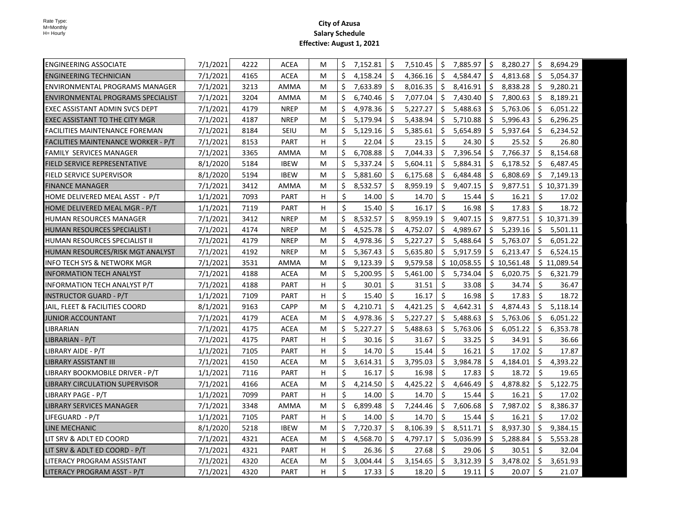| <b>ENGINEERING ASSOCIATE</b>          | 7/1/2021 | 4222 | <b>ACEA</b> | М | \$ | 7,152.81 | \$ | 7,510.45 | \$                  | 7,885.97    | \$  | 8,280.27    | \$  | 8,694.29    |
|---------------------------------------|----------|------|-------------|---|----|----------|----|----------|---------------------|-------------|-----|-------------|-----|-------------|
| <b>ENGINEERING TECHNICIAN</b>         | 7/1/2021 | 4165 | <b>ACEA</b> | M | Ś  | 4,158.24 | Ŝ. | 4,366.16 | \$                  | 4,584.47    | \$  | 4,813.68    | \$  | 5,054.37    |
| <b>ENVIRONMENTAL PROGRAMS MANAGER</b> | 7/1/2021 | 3213 | AMMA        | м | \$ | 7,633.89 | \$ | 8,016.35 |                     | \$3,416.91  | \$  | 8,838.28    | \$  | 9,280.21    |
| ENVIRONMENTAL PROGRAMS SPECIALIST     | 7/1/2021 | 3204 | AMMA        | м | Ś. | 6,740.46 | Ŝ. | 7,077.04 | Ŝ.                  | 7,430.40    | Ŝ.  | 7,800.63    | Ŝ.  | 8,189.21    |
| EXEC ASSISTANT ADMIN SVCS DEPT        | 7/1/2021 | 4179 | <b>NREP</b> | M | Ś  | 4,978.36 | \$ | 5,227.27 |                     | \$5,488.63  | Ŝ.  | 5,763.06    | \$  | 6,051.22    |
| EXEC ASSISTANT TO THE CITY MGR        | 7/1/2021 | 4187 | <b>NREP</b> | М | \$ | 5,179.94 | Ŝ. | 5,438.94 | Ŝ.                  | 5,710.88    | Ŝ.  | 5,996.43    | Ś.  | 6,296.25    |
| FACILITIES MAINTENANCE FOREMAN        | 7/1/2021 | 8184 | SEIU        | М | Ś. | 5,129.16 | \$ | 5,385.61 | \$                  | 5,654.89    | \$  | 5,937.64    | \$  | 6,234.52    |
| FACILITIES MAINTENANCE WORKER - P/T   | 7/1/2021 | 8153 | <b>PART</b> | H | \$ | 22.04    | Ŝ. | 23.15    | Ŝ.                  | 24.30       | Ŝ.  | 25.52       | Ŝ.  | 26.80       |
| <b>FAMILY SERVICES MANAGER</b>        | 7/1/2021 | 3365 | AMMA        | M | Ś. | 6,708.88 | Ŝ. | 7.044.33 | Ŝ.                  | 7,396.54    | \$  | 7,766.37    | Ś.  | 8,154.68    |
| <b>FIELD SERVICE REPRESENTATIVE</b>   | 8/1/2020 | 5184 | <b>IBEW</b> | M | Ś. | 5,337.24 | Ŝ. | 5,604.11 | Ŝ.                  | 5,884.31    | Ŝ.  | 6,178.52    | Ś.  | 6,487.45    |
| FIELD SERVICE SUPERVISOR              | 8/1/2020 | 5194 | <b>IBEW</b> | М | Ś. | 5,881.60 | Ŝ. | 6,175.68 | \$                  | 6,484.48    | \$  | 6,808.69    | Ś.  | 7,149.13    |
| <b>FINANCE MANAGER</b>                | 7/1/2021 | 3412 | AMMA        | М | \$ | 8,532.57 | \$ | 8,959.19 | \$.                 | 9,407.15    | \$. | 9,877.51    |     | \$10,371.39 |
| HOME DELIVERED MEAL ASST - P/T        | 1/1/2021 | 7093 | <b>PART</b> | H | \$ | 14.00    | \$ | 14.70    | \$                  | 15.44       | S.  | 16.21       | Ŝ.  | 17.02       |
| HOME DELIVERED MEAL MGR - P/T         | 1/1/2021 | 7119 | <b>PART</b> | H | \$ | 15.40    | Ŝ. | 16.17    | \$                  | 16.98       | Ŝ.  | 17.83       | Ś.  | 18.72       |
| HUMAN RESOURCES MANAGER               | 7/1/2021 | 3412 | <b>NREP</b> | M | \$ | 8,532.57 | Ŝ. | 8,959.19 | \$                  | 9,407.15    | \$  | 9,877.51    |     | \$10,371.39 |
| HUMAN RESOURCES SPECIALIST I          | 7/1/2021 | 4174 | <b>NREP</b> | М | \$ | 4,525.78 | Ŝ. | 4,752.07 | \$                  | 4,989.67    | Ŝ.  | 5,239.16    | S.  | 5,501.11    |
| <b>HUMAN RESOURCES SPECIALIST II</b>  | 7/1/2021 | 4179 | <b>NREP</b> | М | \$ | 4,978.36 | Ŝ. | 5,227.27 | \$                  | 5,488.64    | Ŝ.  | 5,763.07    | Ś.  | 6,051.22    |
| HUMAN RESOURCES/RISK MGT ANALYST      | 7/1/2021 | 4192 | <b>NREP</b> | М | \$ | 5,367.43 | Ś. | 5,635.80 |                     | \$5,917.59  | Ŝ.  | 6,213.47    | Ś.  | 6,524.15    |
| INFO TECH SYS & NETWORK MGR           | 7/1/2021 | 3531 | AMMA        | M | \$ | 9,123.39 | Ś. | 9,579.58 |                     | \$10,058.55 |     | \$10,561.48 |     | \$11,089.54 |
| INFORMATION TECH ANALYST              | 7/1/2021 | 4188 | <b>ACEA</b> | М | \$ | 5,200.95 | Ŝ. | 5,461.00 |                     | \$5,734.04  | Ŝ.  | 6,020.75    | \$. | 6,321.79    |
| <b>INFORMATION TECH ANALYST P/T</b>   | 7/1/2021 | 4188 | <b>PART</b> | H | \$ | 30.01    | Ś. | 31.51    | Ś.                  | 33.08       | Ś.  | 34.74       | \$  | 36.47       |
| <b>INSTRUCTOR GUARD - P/T</b>         | 1/1/2021 | 7109 | <b>PART</b> | H | \$ | 15.40    | Ś. | 16.17    | Ś.                  | 16.98       | \$  | 17.83       | Ś.  | 18.72       |
| JAIL, FLEET & FACILITIES COORD        | 8/1/2021 | 9163 | <b>CAPP</b> | М | \$ | 4,210.71 | Ś. | 4,421.25 | Ś.                  | 4,642.31    | Ŝ.  | 4,874.43    | Ś.  | 5,118.14    |
| JUNIOR ACCOUNTANT                     | 7/1/2021 | 4179 | <b>ACEA</b> | М | \$ | 4,978.36 | \$ | 5,227.27 | \$                  | 5,488.63    | Ŝ.  | 5,763.06    | \$  | 6,051.22    |
| LIBRARIAN                             | 7/1/2021 | 4175 | <b>ACEA</b> | M | Ś. | 5,227.27 | \$ | 5,488.63 | \$                  | 5,763.06    | \$  | 6,051.22    | \$  | 6,353.78    |
| LIBRARIAN - P/T                       | 7/1/2021 | 4175 | <b>PART</b> | H | \$ | 30.16    | \$ | 31.67    | \$                  | 33.25       | \$  | 34.91       | \$  | 36.66       |
| LIBRARY AIDE - P/T                    | 1/1/2021 | 7105 | <b>PART</b> | н | \$ | 14.70    | Ŝ. | 15.44    | Ŝ.                  | 16.21       | Ŝ.  | 17.02       | \$  | 17.87       |
| <b>LIBRARY ASSISTANT III</b>          | 7/1/2021 | 4150 | ACEA        | М | \$ | 3,614.31 | \$ | 3,795.03 | \$                  | 3,984.78    | \$  | 4,184.01    | \$  | 4,393.22    |
| LIBRARY BOOKMOBILE DRIVER - P/T       | 1/1/2021 | 7116 | <b>PART</b> | H | \$ | 16.17    | \$ | 16.98    | \$                  | 17.83       | \$  | 18.72       | \$  | 19.65       |
| <b>LIBRARY CIRCULATION SUPERVISOR</b> | 7/1/2021 | 4166 | <b>ACEA</b> | M | \$ | 4,214.50 | \$ | 4,425.22 | \$                  | 4,646.49    | \$  | 4,878.82    | \$  | 5,122.75    |
| LIBRARY PAGE - P/T                    | 1/1/2021 | 7099 | <b>PART</b> | H | \$ | 14.00    | Ś. | 14.70    | Ś.                  | 15.44       | Ŝ.  | 16.21       | \$  | 17.02       |
| <b>LIBRARY SERVICES MANAGER</b>       | 7/1/2021 | 3348 | AMMA        | М | \$ | 6,899.48 | \$ | 7,244.46 | \$                  | 7,606.68    | \$  | 7,987.02    | \$  | 8,386.37    |
| LIFEGUARD - P/T                       | 1/1/2021 | 7105 | <b>PART</b> | н | \$ | 14.00    | Ŝ. | 14.70    | \$                  | 15.44       | Ŝ.  | 16.21       | Ś.  | 17.02       |
| LINE MECHANIC                         | 8/1/2020 | 5218 | <b>IBEW</b> | М | \$ | 7,720.37 | \$ | 8,106.39 | \$                  | 8,511.71    | \$  | 8,937.30    | \$  | 9,384.15    |
| LIT SRV & ADLT ED COORD               | 7/1/2021 | 4321 | <b>ACEA</b> | М | \$ | 4,568.70 | \$ | 4,797.17 | \$                  | 5,036.99    | \$  | 5,288.84    | \$  | 5,553.28    |
| LIT SRV & ADLT ED COORD - P/T         | 7/1/2021 | 4321 | <b>PART</b> | н | \$ | 26.36    | Ŝ. | 27.68    | \$                  | 29.06       | Ŝ.  | 30.51       | Ŝ.  | 32.04       |
| LITERACY PROGRAM ASSISTANT            | 7/1/2021 | 4320 | ACEA        | M | \$ | 3,004.44 | \$ | 3,154.65 | \$                  | 3,312.39    | \$  | 3,478.02    | \$  | 3,651.93    |
| LITERACY PROGRAM ASST - P/T           | 7/1/2021 | 4320 | <b>PART</b> | H | \$ | 17.33    | \$ | 18.20    | $\ddot{\mathsf{S}}$ | 19.11       | \$  | 20.07       | Ŝ.  | 21.07       |
|                                       |          |      |             |   |    |          |    |          |                     |             |     |             |     |             |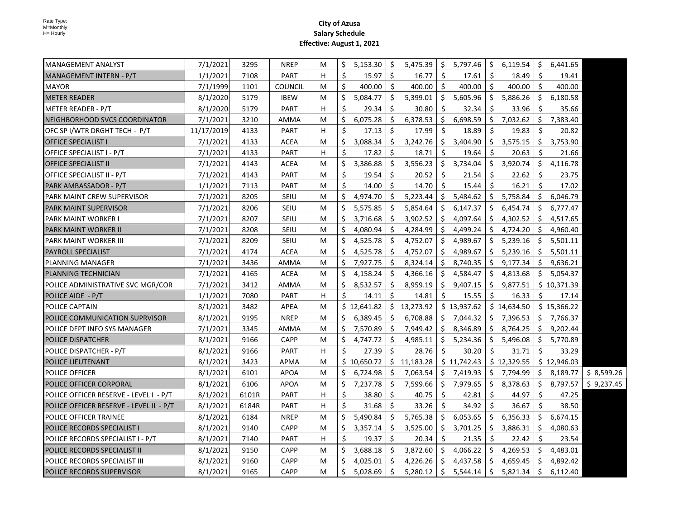| $5,475.39$ $\binom{6}{5}$ 5,797.46<br>7/1/2021<br>3295<br><b>NREP</b><br>\$<br>$5,153.30$   \$<br>\$6,119.54<br>\$<br>MANAGEMENT ANALYST<br>6,441.65<br>M<br>Ŝ.<br>1/1/2021<br>PART<br>Ś.<br>15.97<br>Ŝ.<br>16.77<br>17.61<br>Ŝ.<br>18.49<br>\$<br>19.41<br>MANAGEMENT INTERN - P/T<br>7108<br>H<br>\$<br>Ŝ.<br>Ŝ.<br>400.00<br>Ŝ.<br>400.00<br>400.00<br>400.00<br>\$<br>400.00<br><b>MAYOR</b><br>7/1/1999<br>1101<br><b>COUNCIL</b><br>M<br>\$<br>\$<br>5,605.96<br>$$5,886.26$ $$$<br><b>METER READER</b><br>8/1/2020<br>5179<br><b>IBEW</b><br>Ś.<br>5,084.77<br>5,399.01<br>6,180.58<br>M<br>Ś.<br>Ŝ.<br>\$<br>32.34<br>Ŝ.<br>33.96<br>Ŝ.<br>35.66<br>METER READER - P/T<br>8/1/2020<br>5179<br><b>PART</b><br>H<br>29.34<br>30.80<br>\$<br>6,698.59<br>\$7,032.62<br>6,075.28<br>\$<br>6,378.53<br>\$<br>7,383.40<br>NEIGHBORHOOD SVCS COORDINATOR<br>7/1/2021<br>3210<br>Ś.<br>AMMA<br>M<br>Ś.<br>Ŝ.<br>Ŝ.<br>11/17/2019<br>PART<br>17.99<br>18.89<br>Ŝ.<br>19.83<br>Ŝ.<br>20.82<br>OFC SP I/WTR DRGHT TECH - P/T<br>4133<br>H<br>17.13<br>\$<br>\$<br>7/1/2021<br><b>ACEA</b><br>Ś.<br>3,088.34<br>Ŝ.<br>3,242.76<br>3,404.90<br>Ŝ.<br>3,575.15<br>3,753.90<br>4133<br><b>OFFICE SPECIALIST I</b><br>M<br>Ŝ.<br>Ś.<br>17.82<br>Ŝ.<br>18.71<br>19.64<br>Ŝ.<br>20.63<br>Ŝ.<br>21.66<br>OFFICE SPECIALIST I - P/T<br>7/1/2021<br>4133<br><b>PART</b><br>H<br>\$<br><b>ACEA</b><br>3,386.88<br>Ŝ.<br>3,556.23<br>3,734.04<br>3,920.74<br>Ŝ.<br>4,116.78<br>7/1/2021<br>4143<br>Ś<br>Ŝ.<br><b>OFFICE SPECIALIST II</b><br>M<br>Ŝ.<br>4143<br>PART<br>Ś<br>19.54<br>Ŝ.<br>20.52<br>21.54<br>Ŝ.<br>22.62<br>23.75<br>7/1/2021<br>Ŝ<br>OFFICE SPECIALIST II - P/T<br>M<br>Ś.<br>Ŝ.<br>Ŝ.<br>Ŝ.<br>Ŝ.<br>7113<br><b>PART</b><br>14.00<br>14.70<br>15.44<br>16.21<br>17.02<br>1/1/2021<br>M<br>PARK AMBASSADOR - P/T<br>8205<br><b>SEIU</b><br>4,974.70<br>\$<br>5,223.44<br>\$<br>5,484.62<br>\$<br>5,758.84<br>\$<br>6,046.79<br>7/1/2021<br>M<br>PARK MAINT CREW SUPERVISOR<br>Ŝ.<br>Ŝ.<br>Ŝ.<br><b>PARK MAINT SUPERVISOR</b><br>7/1/2021<br>8206<br><b>SEIU</b><br>M<br>Ś<br>5,575.85<br>Ŝ.<br>5,854.64<br>6,147.37<br>6,454.74<br>6,777.47<br>7/1/2021<br>8207<br>SEIU<br>Ś<br>3,716.68<br>Ŝ.<br>3,902.52<br>Ŝ.<br>4,097.64<br>Ŝ.<br>4,302.52<br>S.<br>4,517.65<br><b>PARK MAINT WORKER I</b><br>M<br>8208<br><b>SEIU</b><br>4,080.94<br>4,284.99<br>\$.<br>4,499.24<br>S.<br>4,724.20<br>\$.<br>4,960.40<br>PARK MAINT WORKER II<br>7/1/2021<br>M<br>S<br>S<br>Ś.<br>4,525.78<br>Ś.<br>4,989.67<br>Ŝ.<br>5,239.16<br>Ŝ.<br>PARK MAINT WORKER III<br>7/1/2021<br>8209<br><b>SEIU</b><br>M<br>S.<br>4,752.07<br>5,501.11<br>4,525.78<br>Ŝ.<br>Ś.<br>4,989.67<br>Ś.<br>5,239.16<br>Ŝ.<br>7/1/2021<br>4174<br><b>ACEA</b><br>M<br>Ŝ.<br>4,752.07<br>5,501.11<br><b>PAYROLL SPECIALIST</b><br>Ś<br>7,927.75<br>Ŝ.<br>8,324.14<br>Ś.<br>8,740.35<br>Ś.<br>9,177.34<br>Ŝ.<br><b>PLANNING MANAGER</b><br>7/1/2021<br>3436<br>AMMA<br>9,636.21<br>М<br>7/1/2021<br>4165<br><b>ACEA</b><br>4,158.24<br>Ŝ.<br>4,366.16<br>Ŝ.<br>4,584.47<br>Ŝ.<br>4,813.68<br>Ŝ.<br>5,054.37<br>PLANNING TECHNICIAN<br>М<br>S<br>POLICE ADMINISTRATIVE SVC MGR/COR<br>8,532.57<br>\$<br>8,959.19<br>\$<br>9,407.15<br>\$<br>9,877.51<br>\$10,371.39<br>7/1/2021<br>3412<br>AMMA<br>M<br>\$<br>Ś.<br>Ś.<br>Ŝ.<br>15.55<br>Ŝ.<br>16.33<br>Ŝ.<br>POLICE AIDE - P/T<br>1/1/2021<br>7080<br>PART<br>H<br>14.11<br>14.81<br>17.14<br>\$13,273.92<br>\$13,937.62<br>\$14,634.50<br>POLICE CAPTAIN<br>8/1/2021<br>3482<br><b>APEA</b><br>\$12,641.82<br>\$15,366.22<br>M<br>8/1/2021<br>9195<br><b>NREP</b><br>6,389.45<br>\$<br>6,708.88<br>\$<br>7,044.32<br>\$7,396.53<br>\$<br>7,766.37<br>POLICE COMMUNICATION SUPRVISOR<br>M<br>Ś<br>\$<br>7,949.42<br>\$<br>8,346.89<br>\$<br>8,764.25<br>\$<br>POLICE DEPT INFO SYS MANAGER<br>7/1/2021<br>3345<br>AMMA<br>7,570.89<br>9,202.44<br>M<br>9166<br><b>CAPP</b><br>4,747.72<br>\$<br>4,985.11<br>\$<br>5,234.36<br>\$<br>5,496.08<br><b>POLICE DISPATCHER</b><br>8/1/2021<br>M<br>Ś<br>\$5,770.89<br>\$<br>\$<br>Ŝ.<br>\$<br>28.76<br>30.20<br>31.71<br>Ŝ.<br>POLICE DISPATCHER - P/T<br>8/1/2021<br>9166<br>PART<br>н<br>27.39<br>33.29<br>\$11,742.43<br>\$12,329.55<br>3423<br>\$10,650.72<br>\$11,183.28<br>\$12,946.03<br>8/1/2021<br>APMA<br>M<br>POLICE LIEUTENANT<br>8/1/2021<br>6101<br><b>APOA</b><br>6,724.98<br>\$<br>7,063.54<br>\$<br>7,419.93<br>\$<br>7,794.99<br>\$<br>8,189.77<br><b>POLICE OFFICER</b><br>M<br>S<br>7,979.65<br>8/1/2021<br>6106<br><b>APOA</b><br>Ś<br>7,237.78<br>\$<br>7,599.66<br>\$<br>\$<br>8,378.63<br>\$<br>8,797.57<br>POLICE OFFICER CORPORAL<br>м<br>8/1/2021<br><b>PART</b><br>Ś.<br>38.80<br>Ŝ.<br>40.75<br>-\$<br>42.81<br>Ŝ.<br>44.97<br>Ŝ.<br>47.25<br>POLICE OFFICER RESERVE - LEVEL I - P/T<br>6101R<br>н<br>Ś.<br>\$<br>\$<br>34.92<br>\$<br>\$<br>33.26<br>36.67<br>38.50<br>8/1/2021<br>6184R<br>PART<br>н<br>31.68<br>POLICE OFFICER RESERVE - LEVEL II - P/T<br>6184<br><b>NREP</b><br>5,490.84<br>\$<br>5,765.38<br>\$<br>6,053.65<br>\$<br>6,356.33<br>\$<br>6,674.15<br>POLICE OFFICER TRAINEE<br>8/1/2021<br>M<br>9140<br><b>CAPP</b><br>\$<br>3,357.14<br>\$<br>3,525.00<br>\$<br>3,701.25<br>\$<br>3,886.31<br>\$<br>4,080.63<br>8/1/2021<br>M<br><b>POLICE RECORDS SPECIALIST I</b><br>Ś<br>Ŝ.<br>\$<br>\$<br>S.<br>7140<br><b>PART</b><br>H<br>19.37<br>20.34<br>21.35<br>22.42<br>23.54<br>POLICE RECORDS SPECIALIST I - P/T<br>8/1/2021<br>3,688.18<br>Ŝ.<br>3,872.60<br>Ŝ.<br>4,066.22<br>\$4,269.53<br>S.<br>4,483.01<br>8/1/2021<br>9150<br><b>CAPP</b><br>M<br>Ś<br><b>POLICE RECORDS SPECIALIST II</b><br>Ŝ.<br>8/1/2021<br>9160<br><b>CAPP</b><br>4,025.01<br>Ŝ.<br>4,226.26<br>Ŝ.<br>4,437.58<br>Ŝ.<br>4,659.45<br>4,892.42<br>POLICE RECORDS SPECIALIST III<br>M<br>S<br>\$<br>Ś.<br>5,028.69<br>Ŝ.<br>\$<br>5,821.34<br>Ŝ.<br>8/1/2021<br>9165<br><b>CAPP</b><br>м<br>5,280.12<br>5,544.14<br>6,112.40<br><b>POLICE RECORDS SUPERVISOR</b> |  |  |  |  |  |  |  |            |
|-----------------------------------------------------------------------------------------------------------------------------------------------------------------------------------------------------------------------------------------------------------------------------------------------------------------------------------------------------------------------------------------------------------------------------------------------------------------------------------------------------------------------------------------------------------------------------------------------------------------------------------------------------------------------------------------------------------------------------------------------------------------------------------------------------------------------------------------------------------------------------------------------------------------------------------------------------------------------------------------------------------------------------------------------------------------------------------------------------------------------------------------------------------------------------------------------------------------------------------------------------------------------------------------------------------------------------------------------------------------------------------------------------------------------------------------------------------------------------------------------------------------------------------------------------------------------------------------------------------------------------------------------------------------------------------------------------------------------------------------------------------------------------------------------------------------------------------------------------------------------------------------------------------------------------------------------------------------------------------------------------------------------------------------------------------------------------------------------------------------------------------------------------------------------------------------------------------------------------------------------------------------------------------------------------------------------------------------------------------------------------------------------------------------------------------------------------------------------------------------------------------------------------------------------------------------------------------------------------------------------------------------------------------------------------------------------------------------------------------------------------------------------------------------------------------------------------------------------------------------------------------------------------------------------------------------------------------------------------------------------------------------------------------------------------------------------------------------------------------------------------------------------------------------------------------------------------------------------------------------------------------------------------------------------------------------------------------------------------------------------------------------------------------------------------------------------------------------------------------------------------------------------------------------------------------------------------------------------------------------------------------------------------------------------------------------------------------------------------------------------------------------------------------------------------------------------------------------------------------------------------------------------------------------------------------------------------------------------------------------------------------------------------------------------------------------------------------------------------------------------------------------------------------------------------------------------------------------------------------------------------------------------------------------------------------------------------------------------------------------------------------------------------------------------------------------------------------------------------------------------------------------------------------------------------------------------------------------------------------------------------------------------------------------------------------------------------------------------------------------------------------------------------------------------------------------------------------------------------------------------------------------------------------------------------------------------------------------------------------------------------------------------------------------------------------------------------------------------------------------------------------------------------------------------------------------------------------------------------------------------------------------------------------------------------------------------------------------------------------------------------------------------------------------------------------------------------------------------------------------------------------------------------------------------------------------------------------------------------------------------------------------------------------------------------------------------------------------------------------------------------------------------------------------------------------------------------------------------------------------------------------------------------------------------------------------------|--|--|--|--|--|--|--|------------|
|                                                                                                                                                                                                                                                                                                                                                                                                                                                                                                                                                                                                                                                                                                                                                                                                                                                                                                                                                                                                                                                                                                                                                                                                                                                                                                                                                                                                                                                                                                                                                                                                                                                                                                                                                                                                                                                                                                                                                                                                                                                                                                                                                                                                                                                                                                                                                                                                                                                                                                                                                                                                                                                                                                                                                                                                                                                                                                                                                                                                                                                                                                                                                                                                                                                                                                                                                                                                                                                                                                                                                                                                                                                                                                                                                                                                                                                                                                                                                                                                                                                                                                                                                                                                                                                                                                                                                                                                                                                                                                                                                                                                                                                                                                                                                                                                                                                                                                                                                                                                                                                                                                                                                                                                                                                                                                                                                                                                                                                                                                                                                                                                                                                                                                                                                                                                                                                                                                                                               |  |  |  |  |  |  |  |            |
|                                                                                                                                                                                                                                                                                                                                                                                                                                                                                                                                                                                                                                                                                                                                                                                                                                                                                                                                                                                                                                                                                                                                                                                                                                                                                                                                                                                                                                                                                                                                                                                                                                                                                                                                                                                                                                                                                                                                                                                                                                                                                                                                                                                                                                                                                                                                                                                                                                                                                                                                                                                                                                                                                                                                                                                                                                                                                                                                                                                                                                                                                                                                                                                                                                                                                                                                                                                                                                                                                                                                                                                                                                                                                                                                                                                                                                                                                                                                                                                                                                                                                                                                                                                                                                                                                                                                                                                                                                                                                                                                                                                                                                                                                                                                                                                                                                                                                                                                                                                                                                                                                                                                                                                                                                                                                                                                                                                                                                                                                                                                                                                                                                                                                                                                                                                                                                                                                                                                               |  |  |  |  |  |  |  |            |
|                                                                                                                                                                                                                                                                                                                                                                                                                                                                                                                                                                                                                                                                                                                                                                                                                                                                                                                                                                                                                                                                                                                                                                                                                                                                                                                                                                                                                                                                                                                                                                                                                                                                                                                                                                                                                                                                                                                                                                                                                                                                                                                                                                                                                                                                                                                                                                                                                                                                                                                                                                                                                                                                                                                                                                                                                                                                                                                                                                                                                                                                                                                                                                                                                                                                                                                                                                                                                                                                                                                                                                                                                                                                                                                                                                                                                                                                                                                                                                                                                                                                                                                                                                                                                                                                                                                                                                                                                                                                                                                                                                                                                                                                                                                                                                                                                                                                                                                                                                                                                                                                                                                                                                                                                                                                                                                                                                                                                                                                                                                                                                                                                                                                                                                                                                                                                                                                                                                                               |  |  |  |  |  |  |  |            |
|                                                                                                                                                                                                                                                                                                                                                                                                                                                                                                                                                                                                                                                                                                                                                                                                                                                                                                                                                                                                                                                                                                                                                                                                                                                                                                                                                                                                                                                                                                                                                                                                                                                                                                                                                                                                                                                                                                                                                                                                                                                                                                                                                                                                                                                                                                                                                                                                                                                                                                                                                                                                                                                                                                                                                                                                                                                                                                                                                                                                                                                                                                                                                                                                                                                                                                                                                                                                                                                                                                                                                                                                                                                                                                                                                                                                                                                                                                                                                                                                                                                                                                                                                                                                                                                                                                                                                                                                                                                                                                                                                                                                                                                                                                                                                                                                                                                                                                                                                                                                                                                                                                                                                                                                                                                                                                                                                                                                                                                                                                                                                                                                                                                                                                                                                                                                                                                                                                                                               |  |  |  |  |  |  |  |            |
|                                                                                                                                                                                                                                                                                                                                                                                                                                                                                                                                                                                                                                                                                                                                                                                                                                                                                                                                                                                                                                                                                                                                                                                                                                                                                                                                                                                                                                                                                                                                                                                                                                                                                                                                                                                                                                                                                                                                                                                                                                                                                                                                                                                                                                                                                                                                                                                                                                                                                                                                                                                                                                                                                                                                                                                                                                                                                                                                                                                                                                                                                                                                                                                                                                                                                                                                                                                                                                                                                                                                                                                                                                                                                                                                                                                                                                                                                                                                                                                                                                                                                                                                                                                                                                                                                                                                                                                                                                                                                                                                                                                                                                                                                                                                                                                                                                                                                                                                                                                                                                                                                                                                                                                                                                                                                                                                                                                                                                                                                                                                                                                                                                                                                                                                                                                                                                                                                                                                               |  |  |  |  |  |  |  |            |
|                                                                                                                                                                                                                                                                                                                                                                                                                                                                                                                                                                                                                                                                                                                                                                                                                                                                                                                                                                                                                                                                                                                                                                                                                                                                                                                                                                                                                                                                                                                                                                                                                                                                                                                                                                                                                                                                                                                                                                                                                                                                                                                                                                                                                                                                                                                                                                                                                                                                                                                                                                                                                                                                                                                                                                                                                                                                                                                                                                                                                                                                                                                                                                                                                                                                                                                                                                                                                                                                                                                                                                                                                                                                                                                                                                                                                                                                                                                                                                                                                                                                                                                                                                                                                                                                                                                                                                                                                                                                                                                                                                                                                                                                                                                                                                                                                                                                                                                                                                                                                                                                                                                                                                                                                                                                                                                                                                                                                                                                                                                                                                                                                                                                                                                                                                                                                                                                                                                                               |  |  |  |  |  |  |  |            |
|                                                                                                                                                                                                                                                                                                                                                                                                                                                                                                                                                                                                                                                                                                                                                                                                                                                                                                                                                                                                                                                                                                                                                                                                                                                                                                                                                                                                                                                                                                                                                                                                                                                                                                                                                                                                                                                                                                                                                                                                                                                                                                                                                                                                                                                                                                                                                                                                                                                                                                                                                                                                                                                                                                                                                                                                                                                                                                                                                                                                                                                                                                                                                                                                                                                                                                                                                                                                                                                                                                                                                                                                                                                                                                                                                                                                                                                                                                                                                                                                                                                                                                                                                                                                                                                                                                                                                                                                                                                                                                                                                                                                                                                                                                                                                                                                                                                                                                                                                                                                                                                                                                                                                                                                                                                                                                                                                                                                                                                                                                                                                                                                                                                                                                                                                                                                                                                                                                                                               |  |  |  |  |  |  |  |            |
|                                                                                                                                                                                                                                                                                                                                                                                                                                                                                                                                                                                                                                                                                                                                                                                                                                                                                                                                                                                                                                                                                                                                                                                                                                                                                                                                                                                                                                                                                                                                                                                                                                                                                                                                                                                                                                                                                                                                                                                                                                                                                                                                                                                                                                                                                                                                                                                                                                                                                                                                                                                                                                                                                                                                                                                                                                                                                                                                                                                                                                                                                                                                                                                                                                                                                                                                                                                                                                                                                                                                                                                                                                                                                                                                                                                                                                                                                                                                                                                                                                                                                                                                                                                                                                                                                                                                                                                                                                                                                                                                                                                                                                                                                                                                                                                                                                                                                                                                                                                                                                                                                                                                                                                                                                                                                                                                                                                                                                                                                                                                                                                                                                                                                                                                                                                                                                                                                                                                               |  |  |  |  |  |  |  |            |
|                                                                                                                                                                                                                                                                                                                                                                                                                                                                                                                                                                                                                                                                                                                                                                                                                                                                                                                                                                                                                                                                                                                                                                                                                                                                                                                                                                                                                                                                                                                                                                                                                                                                                                                                                                                                                                                                                                                                                                                                                                                                                                                                                                                                                                                                                                                                                                                                                                                                                                                                                                                                                                                                                                                                                                                                                                                                                                                                                                                                                                                                                                                                                                                                                                                                                                                                                                                                                                                                                                                                                                                                                                                                                                                                                                                                                                                                                                                                                                                                                                                                                                                                                                                                                                                                                                                                                                                                                                                                                                                                                                                                                                                                                                                                                                                                                                                                                                                                                                                                                                                                                                                                                                                                                                                                                                                                                                                                                                                                                                                                                                                                                                                                                                                                                                                                                                                                                                                                               |  |  |  |  |  |  |  |            |
|                                                                                                                                                                                                                                                                                                                                                                                                                                                                                                                                                                                                                                                                                                                                                                                                                                                                                                                                                                                                                                                                                                                                                                                                                                                                                                                                                                                                                                                                                                                                                                                                                                                                                                                                                                                                                                                                                                                                                                                                                                                                                                                                                                                                                                                                                                                                                                                                                                                                                                                                                                                                                                                                                                                                                                                                                                                                                                                                                                                                                                                                                                                                                                                                                                                                                                                                                                                                                                                                                                                                                                                                                                                                                                                                                                                                                                                                                                                                                                                                                                                                                                                                                                                                                                                                                                                                                                                                                                                                                                                                                                                                                                                                                                                                                                                                                                                                                                                                                                                                                                                                                                                                                                                                                                                                                                                                                                                                                                                                                                                                                                                                                                                                                                                                                                                                                                                                                                                                               |  |  |  |  |  |  |  |            |
|                                                                                                                                                                                                                                                                                                                                                                                                                                                                                                                                                                                                                                                                                                                                                                                                                                                                                                                                                                                                                                                                                                                                                                                                                                                                                                                                                                                                                                                                                                                                                                                                                                                                                                                                                                                                                                                                                                                                                                                                                                                                                                                                                                                                                                                                                                                                                                                                                                                                                                                                                                                                                                                                                                                                                                                                                                                                                                                                                                                                                                                                                                                                                                                                                                                                                                                                                                                                                                                                                                                                                                                                                                                                                                                                                                                                                                                                                                                                                                                                                                                                                                                                                                                                                                                                                                                                                                                                                                                                                                                                                                                                                                                                                                                                                                                                                                                                                                                                                                                                                                                                                                                                                                                                                                                                                                                                                                                                                                                                                                                                                                                                                                                                                                                                                                                                                                                                                                                                               |  |  |  |  |  |  |  |            |
|                                                                                                                                                                                                                                                                                                                                                                                                                                                                                                                                                                                                                                                                                                                                                                                                                                                                                                                                                                                                                                                                                                                                                                                                                                                                                                                                                                                                                                                                                                                                                                                                                                                                                                                                                                                                                                                                                                                                                                                                                                                                                                                                                                                                                                                                                                                                                                                                                                                                                                                                                                                                                                                                                                                                                                                                                                                                                                                                                                                                                                                                                                                                                                                                                                                                                                                                                                                                                                                                                                                                                                                                                                                                                                                                                                                                                                                                                                                                                                                                                                                                                                                                                                                                                                                                                                                                                                                                                                                                                                                                                                                                                                                                                                                                                                                                                                                                                                                                                                                                                                                                                                                                                                                                                                                                                                                                                                                                                                                                                                                                                                                                                                                                                                                                                                                                                                                                                                                                               |  |  |  |  |  |  |  |            |
|                                                                                                                                                                                                                                                                                                                                                                                                                                                                                                                                                                                                                                                                                                                                                                                                                                                                                                                                                                                                                                                                                                                                                                                                                                                                                                                                                                                                                                                                                                                                                                                                                                                                                                                                                                                                                                                                                                                                                                                                                                                                                                                                                                                                                                                                                                                                                                                                                                                                                                                                                                                                                                                                                                                                                                                                                                                                                                                                                                                                                                                                                                                                                                                                                                                                                                                                                                                                                                                                                                                                                                                                                                                                                                                                                                                                                                                                                                                                                                                                                                                                                                                                                                                                                                                                                                                                                                                                                                                                                                                                                                                                                                                                                                                                                                                                                                                                                                                                                                                                                                                                                                                                                                                                                                                                                                                                                                                                                                                                                                                                                                                                                                                                                                                                                                                                                                                                                                                                               |  |  |  |  |  |  |  |            |
|                                                                                                                                                                                                                                                                                                                                                                                                                                                                                                                                                                                                                                                                                                                                                                                                                                                                                                                                                                                                                                                                                                                                                                                                                                                                                                                                                                                                                                                                                                                                                                                                                                                                                                                                                                                                                                                                                                                                                                                                                                                                                                                                                                                                                                                                                                                                                                                                                                                                                                                                                                                                                                                                                                                                                                                                                                                                                                                                                                                                                                                                                                                                                                                                                                                                                                                                                                                                                                                                                                                                                                                                                                                                                                                                                                                                                                                                                                                                                                                                                                                                                                                                                                                                                                                                                                                                                                                                                                                                                                                                                                                                                                                                                                                                                                                                                                                                                                                                                                                                                                                                                                                                                                                                                                                                                                                                                                                                                                                                                                                                                                                                                                                                                                                                                                                                                                                                                                                                               |  |  |  |  |  |  |  |            |
|                                                                                                                                                                                                                                                                                                                                                                                                                                                                                                                                                                                                                                                                                                                                                                                                                                                                                                                                                                                                                                                                                                                                                                                                                                                                                                                                                                                                                                                                                                                                                                                                                                                                                                                                                                                                                                                                                                                                                                                                                                                                                                                                                                                                                                                                                                                                                                                                                                                                                                                                                                                                                                                                                                                                                                                                                                                                                                                                                                                                                                                                                                                                                                                                                                                                                                                                                                                                                                                                                                                                                                                                                                                                                                                                                                                                                                                                                                                                                                                                                                                                                                                                                                                                                                                                                                                                                                                                                                                                                                                                                                                                                                                                                                                                                                                                                                                                                                                                                                                                                                                                                                                                                                                                                                                                                                                                                                                                                                                                                                                                                                                                                                                                                                                                                                                                                                                                                                                                               |  |  |  |  |  |  |  |            |
|                                                                                                                                                                                                                                                                                                                                                                                                                                                                                                                                                                                                                                                                                                                                                                                                                                                                                                                                                                                                                                                                                                                                                                                                                                                                                                                                                                                                                                                                                                                                                                                                                                                                                                                                                                                                                                                                                                                                                                                                                                                                                                                                                                                                                                                                                                                                                                                                                                                                                                                                                                                                                                                                                                                                                                                                                                                                                                                                                                                                                                                                                                                                                                                                                                                                                                                                                                                                                                                                                                                                                                                                                                                                                                                                                                                                                                                                                                                                                                                                                                                                                                                                                                                                                                                                                                                                                                                                                                                                                                                                                                                                                                                                                                                                                                                                                                                                                                                                                                                                                                                                                                                                                                                                                                                                                                                                                                                                                                                                                                                                                                                                                                                                                                                                                                                                                                                                                                                                               |  |  |  |  |  |  |  |            |
|                                                                                                                                                                                                                                                                                                                                                                                                                                                                                                                                                                                                                                                                                                                                                                                                                                                                                                                                                                                                                                                                                                                                                                                                                                                                                                                                                                                                                                                                                                                                                                                                                                                                                                                                                                                                                                                                                                                                                                                                                                                                                                                                                                                                                                                                                                                                                                                                                                                                                                                                                                                                                                                                                                                                                                                                                                                                                                                                                                                                                                                                                                                                                                                                                                                                                                                                                                                                                                                                                                                                                                                                                                                                                                                                                                                                                                                                                                                                                                                                                                                                                                                                                                                                                                                                                                                                                                                                                                                                                                                                                                                                                                                                                                                                                                                                                                                                                                                                                                                                                                                                                                                                                                                                                                                                                                                                                                                                                                                                                                                                                                                                                                                                                                                                                                                                                                                                                                                                               |  |  |  |  |  |  |  |            |
|                                                                                                                                                                                                                                                                                                                                                                                                                                                                                                                                                                                                                                                                                                                                                                                                                                                                                                                                                                                                                                                                                                                                                                                                                                                                                                                                                                                                                                                                                                                                                                                                                                                                                                                                                                                                                                                                                                                                                                                                                                                                                                                                                                                                                                                                                                                                                                                                                                                                                                                                                                                                                                                                                                                                                                                                                                                                                                                                                                                                                                                                                                                                                                                                                                                                                                                                                                                                                                                                                                                                                                                                                                                                                                                                                                                                                                                                                                                                                                                                                                                                                                                                                                                                                                                                                                                                                                                                                                                                                                                                                                                                                                                                                                                                                                                                                                                                                                                                                                                                                                                                                                                                                                                                                                                                                                                                                                                                                                                                                                                                                                                                                                                                                                                                                                                                                                                                                                                                               |  |  |  |  |  |  |  |            |
|                                                                                                                                                                                                                                                                                                                                                                                                                                                                                                                                                                                                                                                                                                                                                                                                                                                                                                                                                                                                                                                                                                                                                                                                                                                                                                                                                                                                                                                                                                                                                                                                                                                                                                                                                                                                                                                                                                                                                                                                                                                                                                                                                                                                                                                                                                                                                                                                                                                                                                                                                                                                                                                                                                                                                                                                                                                                                                                                                                                                                                                                                                                                                                                                                                                                                                                                                                                                                                                                                                                                                                                                                                                                                                                                                                                                                                                                                                                                                                                                                                                                                                                                                                                                                                                                                                                                                                                                                                                                                                                                                                                                                                                                                                                                                                                                                                                                                                                                                                                                                                                                                                                                                                                                                                                                                                                                                                                                                                                                                                                                                                                                                                                                                                                                                                                                                                                                                                                                               |  |  |  |  |  |  |  |            |
|                                                                                                                                                                                                                                                                                                                                                                                                                                                                                                                                                                                                                                                                                                                                                                                                                                                                                                                                                                                                                                                                                                                                                                                                                                                                                                                                                                                                                                                                                                                                                                                                                                                                                                                                                                                                                                                                                                                                                                                                                                                                                                                                                                                                                                                                                                                                                                                                                                                                                                                                                                                                                                                                                                                                                                                                                                                                                                                                                                                                                                                                                                                                                                                                                                                                                                                                                                                                                                                                                                                                                                                                                                                                                                                                                                                                                                                                                                                                                                                                                                                                                                                                                                                                                                                                                                                                                                                                                                                                                                                                                                                                                                                                                                                                                                                                                                                                                                                                                                                                                                                                                                                                                                                                                                                                                                                                                                                                                                                                                                                                                                                                                                                                                                                                                                                                                                                                                                                                               |  |  |  |  |  |  |  |            |
|                                                                                                                                                                                                                                                                                                                                                                                                                                                                                                                                                                                                                                                                                                                                                                                                                                                                                                                                                                                                                                                                                                                                                                                                                                                                                                                                                                                                                                                                                                                                                                                                                                                                                                                                                                                                                                                                                                                                                                                                                                                                                                                                                                                                                                                                                                                                                                                                                                                                                                                                                                                                                                                                                                                                                                                                                                                                                                                                                                                                                                                                                                                                                                                                                                                                                                                                                                                                                                                                                                                                                                                                                                                                                                                                                                                                                                                                                                                                                                                                                                                                                                                                                                                                                                                                                                                                                                                                                                                                                                                                                                                                                                                                                                                                                                                                                                                                                                                                                                                                                                                                                                                                                                                                                                                                                                                                                                                                                                                                                                                                                                                                                                                                                                                                                                                                                                                                                                                                               |  |  |  |  |  |  |  |            |
|                                                                                                                                                                                                                                                                                                                                                                                                                                                                                                                                                                                                                                                                                                                                                                                                                                                                                                                                                                                                                                                                                                                                                                                                                                                                                                                                                                                                                                                                                                                                                                                                                                                                                                                                                                                                                                                                                                                                                                                                                                                                                                                                                                                                                                                                                                                                                                                                                                                                                                                                                                                                                                                                                                                                                                                                                                                                                                                                                                                                                                                                                                                                                                                                                                                                                                                                                                                                                                                                                                                                                                                                                                                                                                                                                                                                                                                                                                                                                                                                                                                                                                                                                                                                                                                                                                                                                                                                                                                                                                                                                                                                                                                                                                                                                                                                                                                                                                                                                                                                                                                                                                                                                                                                                                                                                                                                                                                                                                                                                                                                                                                                                                                                                                                                                                                                                                                                                                                                               |  |  |  |  |  |  |  |            |
|                                                                                                                                                                                                                                                                                                                                                                                                                                                                                                                                                                                                                                                                                                                                                                                                                                                                                                                                                                                                                                                                                                                                                                                                                                                                                                                                                                                                                                                                                                                                                                                                                                                                                                                                                                                                                                                                                                                                                                                                                                                                                                                                                                                                                                                                                                                                                                                                                                                                                                                                                                                                                                                                                                                                                                                                                                                                                                                                                                                                                                                                                                                                                                                                                                                                                                                                                                                                                                                                                                                                                                                                                                                                                                                                                                                                                                                                                                                                                                                                                                                                                                                                                                                                                                                                                                                                                                                                                                                                                                                                                                                                                                                                                                                                                                                                                                                                                                                                                                                                                                                                                                                                                                                                                                                                                                                                                                                                                                                                                                                                                                                                                                                                                                                                                                                                                                                                                                                                               |  |  |  |  |  |  |  |            |
|                                                                                                                                                                                                                                                                                                                                                                                                                                                                                                                                                                                                                                                                                                                                                                                                                                                                                                                                                                                                                                                                                                                                                                                                                                                                                                                                                                                                                                                                                                                                                                                                                                                                                                                                                                                                                                                                                                                                                                                                                                                                                                                                                                                                                                                                                                                                                                                                                                                                                                                                                                                                                                                                                                                                                                                                                                                                                                                                                                                                                                                                                                                                                                                                                                                                                                                                                                                                                                                                                                                                                                                                                                                                                                                                                                                                                                                                                                                                                                                                                                                                                                                                                                                                                                                                                                                                                                                                                                                                                                                                                                                                                                                                                                                                                                                                                                                                                                                                                                                                                                                                                                                                                                                                                                                                                                                                                                                                                                                                                                                                                                                                                                                                                                                                                                                                                                                                                                                                               |  |  |  |  |  |  |  |            |
|                                                                                                                                                                                                                                                                                                                                                                                                                                                                                                                                                                                                                                                                                                                                                                                                                                                                                                                                                                                                                                                                                                                                                                                                                                                                                                                                                                                                                                                                                                                                                                                                                                                                                                                                                                                                                                                                                                                                                                                                                                                                                                                                                                                                                                                                                                                                                                                                                                                                                                                                                                                                                                                                                                                                                                                                                                                                                                                                                                                                                                                                                                                                                                                                                                                                                                                                                                                                                                                                                                                                                                                                                                                                                                                                                                                                                                                                                                                                                                                                                                                                                                                                                                                                                                                                                                                                                                                                                                                                                                                                                                                                                                                                                                                                                                                                                                                                                                                                                                                                                                                                                                                                                                                                                                                                                                                                                                                                                                                                                                                                                                                                                                                                                                                                                                                                                                                                                                                                               |  |  |  |  |  |  |  |            |
|                                                                                                                                                                                                                                                                                                                                                                                                                                                                                                                                                                                                                                                                                                                                                                                                                                                                                                                                                                                                                                                                                                                                                                                                                                                                                                                                                                                                                                                                                                                                                                                                                                                                                                                                                                                                                                                                                                                                                                                                                                                                                                                                                                                                                                                                                                                                                                                                                                                                                                                                                                                                                                                                                                                                                                                                                                                                                                                                                                                                                                                                                                                                                                                                                                                                                                                                                                                                                                                                                                                                                                                                                                                                                                                                                                                                                                                                                                                                                                                                                                                                                                                                                                                                                                                                                                                                                                                                                                                                                                                                                                                                                                                                                                                                                                                                                                                                                                                                                                                                                                                                                                                                                                                                                                                                                                                                                                                                                                                                                                                                                                                                                                                                                                                                                                                                                                                                                                                                               |  |  |  |  |  |  |  |            |
|                                                                                                                                                                                                                                                                                                                                                                                                                                                                                                                                                                                                                                                                                                                                                                                                                                                                                                                                                                                                                                                                                                                                                                                                                                                                                                                                                                                                                                                                                                                                                                                                                                                                                                                                                                                                                                                                                                                                                                                                                                                                                                                                                                                                                                                                                                                                                                                                                                                                                                                                                                                                                                                                                                                                                                                                                                                                                                                                                                                                                                                                                                                                                                                                                                                                                                                                                                                                                                                                                                                                                                                                                                                                                                                                                                                                                                                                                                                                                                                                                                                                                                                                                                                                                                                                                                                                                                                                                                                                                                                                                                                                                                                                                                                                                                                                                                                                                                                                                                                                                                                                                                                                                                                                                                                                                                                                                                                                                                                                                                                                                                                                                                                                                                                                                                                                                                                                                                                                               |  |  |  |  |  |  |  |            |
|                                                                                                                                                                                                                                                                                                                                                                                                                                                                                                                                                                                                                                                                                                                                                                                                                                                                                                                                                                                                                                                                                                                                                                                                                                                                                                                                                                                                                                                                                                                                                                                                                                                                                                                                                                                                                                                                                                                                                                                                                                                                                                                                                                                                                                                                                                                                                                                                                                                                                                                                                                                                                                                                                                                                                                                                                                                                                                                                                                                                                                                                                                                                                                                                                                                                                                                                                                                                                                                                                                                                                                                                                                                                                                                                                                                                                                                                                                                                                                                                                                                                                                                                                                                                                                                                                                                                                                                                                                                                                                                                                                                                                                                                                                                                                                                                                                                                                                                                                                                                                                                                                                                                                                                                                                                                                                                                                                                                                                                                                                                                                                                                                                                                                                                                                                                                                                                                                                                                               |  |  |  |  |  |  |  |            |
|                                                                                                                                                                                                                                                                                                                                                                                                                                                                                                                                                                                                                                                                                                                                                                                                                                                                                                                                                                                                                                                                                                                                                                                                                                                                                                                                                                                                                                                                                                                                                                                                                                                                                                                                                                                                                                                                                                                                                                                                                                                                                                                                                                                                                                                                                                                                                                                                                                                                                                                                                                                                                                                                                                                                                                                                                                                                                                                                                                                                                                                                                                                                                                                                                                                                                                                                                                                                                                                                                                                                                                                                                                                                                                                                                                                                                                                                                                                                                                                                                                                                                                                                                                                                                                                                                                                                                                                                                                                                                                                                                                                                                                                                                                                                                                                                                                                                                                                                                                                                                                                                                                                                                                                                                                                                                                                                                                                                                                                                                                                                                                                                                                                                                                                                                                                                                                                                                                                                               |  |  |  |  |  |  |  | \$8,599.26 |
|                                                                                                                                                                                                                                                                                                                                                                                                                                                                                                                                                                                                                                                                                                                                                                                                                                                                                                                                                                                                                                                                                                                                                                                                                                                                                                                                                                                                                                                                                                                                                                                                                                                                                                                                                                                                                                                                                                                                                                                                                                                                                                                                                                                                                                                                                                                                                                                                                                                                                                                                                                                                                                                                                                                                                                                                                                                                                                                                                                                                                                                                                                                                                                                                                                                                                                                                                                                                                                                                                                                                                                                                                                                                                                                                                                                                                                                                                                                                                                                                                                                                                                                                                                                                                                                                                                                                                                                                                                                                                                                                                                                                                                                                                                                                                                                                                                                                                                                                                                                                                                                                                                                                                                                                                                                                                                                                                                                                                                                                                                                                                                                                                                                                                                                                                                                                                                                                                                                                               |  |  |  |  |  |  |  | \$9,237.45 |
|                                                                                                                                                                                                                                                                                                                                                                                                                                                                                                                                                                                                                                                                                                                                                                                                                                                                                                                                                                                                                                                                                                                                                                                                                                                                                                                                                                                                                                                                                                                                                                                                                                                                                                                                                                                                                                                                                                                                                                                                                                                                                                                                                                                                                                                                                                                                                                                                                                                                                                                                                                                                                                                                                                                                                                                                                                                                                                                                                                                                                                                                                                                                                                                                                                                                                                                                                                                                                                                                                                                                                                                                                                                                                                                                                                                                                                                                                                                                                                                                                                                                                                                                                                                                                                                                                                                                                                                                                                                                                                                                                                                                                                                                                                                                                                                                                                                                                                                                                                                                                                                                                                                                                                                                                                                                                                                                                                                                                                                                                                                                                                                                                                                                                                                                                                                                                                                                                                                                               |  |  |  |  |  |  |  |            |
|                                                                                                                                                                                                                                                                                                                                                                                                                                                                                                                                                                                                                                                                                                                                                                                                                                                                                                                                                                                                                                                                                                                                                                                                                                                                                                                                                                                                                                                                                                                                                                                                                                                                                                                                                                                                                                                                                                                                                                                                                                                                                                                                                                                                                                                                                                                                                                                                                                                                                                                                                                                                                                                                                                                                                                                                                                                                                                                                                                                                                                                                                                                                                                                                                                                                                                                                                                                                                                                                                                                                                                                                                                                                                                                                                                                                                                                                                                                                                                                                                                                                                                                                                                                                                                                                                                                                                                                                                                                                                                                                                                                                                                                                                                                                                                                                                                                                                                                                                                                                                                                                                                                                                                                                                                                                                                                                                                                                                                                                                                                                                                                                                                                                                                                                                                                                                                                                                                                                               |  |  |  |  |  |  |  |            |
|                                                                                                                                                                                                                                                                                                                                                                                                                                                                                                                                                                                                                                                                                                                                                                                                                                                                                                                                                                                                                                                                                                                                                                                                                                                                                                                                                                                                                                                                                                                                                                                                                                                                                                                                                                                                                                                                                                                                                                                                                                                                                                                                                                                                                                                                                                                                                                                                                                                                                                                                                                                                                                                                                                                                                                                                                                                                                                                                                                                                                                                                                                                                                                                                                                                                                                                                                                                                                                                                                                                                                                                                                                                                                                                                                                                                                                                                                                                                                                                                                                                                                                                                                                                                                                                                                                                                                                                                                                                                                                                                                                                                                                                                                                                                                                                                                                                                                                                                                                                                                                                                                                                                                                                                                                                                                                                                                                                                                                                                                                                                                                                                                                                                                                                                                                                                                                                                                                                                               |  |  |  |  |  |  |  |            |
|                                                                                                                                                                                                                                                                                                                                                                                                                                                                                                                                                                                                                                                                                                                                                                                                                                                                                                                                                                                                                                                                                                                                                                                                                                                                                                                                                                                                                                                                                                                                                                                                                                                                                                                                                                                                                                                                                                                                                                                                                                                                                                                                                                                                                                                                                                                                                                                                                                                                                                                                                                                                                                                                                                                                                                                                                                                                                                                                                                                                                                                                                                                                                                                                                                                                                                                                                                                                                                                                                                                                                                                                                                                                                                                                                                                                                                                                                                                                                                                                                                                                                                                                                                                                                                                                                                                                                                                                                                                                                                                                                                                                                                                                                                                                                                                                                                                                                                                                                                                                                                                                                                                                                                                                                                                                                                                                                                                                                                                                                                                                                                                                                                                                                                                                                                                                                                                                                                                                               |  |  |  |  |  |  |  |            |
|                                                                                                                                                                                                                                                                                                                                                                                                                                                                                                                                                                                                                                                                                                                                                                                                                                                                                                                                                                                                                                                                                                                                                                                                                                                                                                                                                                                                                                                                                                                                                                                                                                                                                                                                                                                                                                                                                                                                                                                                                                                                                                                                                                                                                                                                                                                                                                                                                                                                                                                                                                                                                                                                                                                                                                                                                                                                                                                                                                                                                                                                                                                                                                                                                                                                                                                                                                                                                                                                                                                                                                                                                                                                                                                                                                                                                                                                                                                                                                                                                                                                                                                                                                                                                                                                                                                                                                                                                                                                                                                                                                                                                                                                                                                                                                                                                                                                                                                                                                                                                                                                                                                                                                                                                                                                                                                                                                                                                                                                                                                                                                                                                                                                                                                                                                                                                                                                                                                                               |  |  |  |  |  |  |  |            |
|                                                                                                                                                                                                                                                                                                                                                                                                                                                                                                                                                                                                                                                                                                                                                                                                                                                                                                                                                                                                                                                                                                                                                                                                                                                                                                                                                                                                                                                                                                                                                                                                                                                                                                                                                                                                                                                                                                                                                                                                                                                                                                                                                                                                                                                                                                                                                                                                                                                                                                                                                                                                                                                                                                                                                                                                                                                                                                                                                                                                                                                                                                                                                                                                                                                                                                                                                                                                                                                                                                                                                                                                                                                                                                                                                                                                                                                                                                                                                                                                                                                                                                                                                                                                                                                                                                                                                                                                                                                                                                                                                                                                                                                                                                                                                                                                                                                                                                                                                                                                                                                                                                                                                                                                                                                                                                                                                                                                                                                                                                                                                                                                                                                                                                                                                                                                                                                                                                                                               |  |  |  |  |  |  |  |            |
|                                                                                                                                                                                                                                                                                                                                                                                                                                                                                                                                                                                                                                                                                                                                                                                                                                                                                                                                                                                                                                                                                                                                                                                                                                                                                                                                                                                                                                                                                                                                                                                                                                                                                                                                                                                                                                                                                                                                                                                                                                                                                                                                                                                                                                                                                                                                                                                                                                                                                                                                                                                                                                                                                                                                                                                                                                                                                                                                                                                                                                                                                                                                                                                                                                                                                                                                                                                                                                                                                                                                                                                                                                                                                                                                                                                                                                                                                                                                                                                                                                                                                                                                                                                                                                                                                                                                                                                                                                                                                                                                                                                                                                                                                                                                                                                                                                                                                                                                                                                                                                                                                                                                                                                                                                                                                                                                                                                                                                                                                                                                                                                                                                                                                                                                                                                                                                                                                                                                               |  |  |  |  |  |  |  |            |
|                                                                                                                                                                                                                                                                                                                                                                                                                                                                                                                                                                                                                                                                                                                                                                                                                                                                                                                                                                                                                                                                                                                                                                                                                                                                                                                                                                                                                                                                                                                                                                                                                                                                                                                                                                                                                                                                                                                                                                                                                                                                                                                                                                                                                                                                                                                                                                                                                                                                                                                                                                                                                                                                                                                                                                                                                                                                                                                                                                                                                                                                                                                                                                                                                                                                                                                                                                                                                                                                                                                                                                                                                                                                                                                                                                                                                                                                                                                                                                                                                                                                                                                                                                                                                                                                                                                                                                                                                                                                                                                                                                                                                                                                                                                                                                                                                                                                                                                                                                                                                                                                                                                                                                                                                                                                                                                                                                                                                                                                                                                                                                                                                                                                                                                                                                                                                                                                                                                                               |  |  |  |  |  |  |  |            |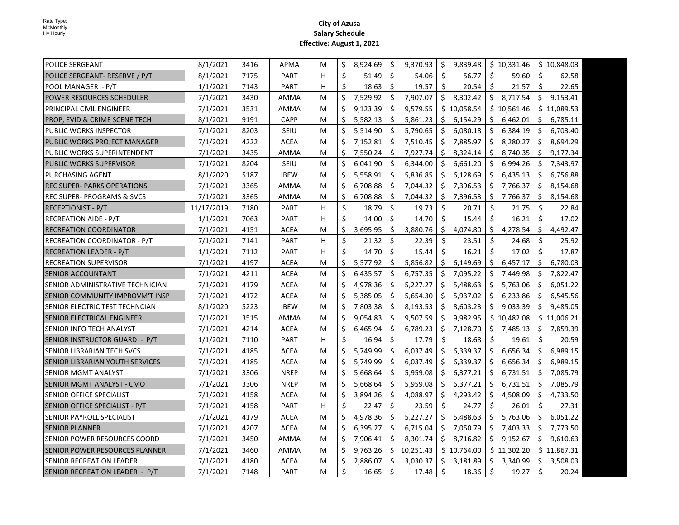| <b>POLICE SERGEANT</b>                | 8/1/2021   | 3416 | APMA        | м | \$ | 8,924.69 | \$           | 9,370.93    | \$ | 9,839.48    |                     | \$10,331.46 |     | \$10,848.03 |
|---------------------------------------|------------|------|-------------|---|----|----------|--------------|-------------|----|-------------|---------------------|-------------|-----|-------------|
| POLICE SERGEANT- RESERVE / P/T        | 8/1/2021   | 7175 | <b>PART</b> | н | \$ | 51.49    | \$           | 54.06       | \$ | 56.77       | \$                  | 59.60       | \$  | 62.58       |
| POOL MANAGER - P/T                    | 1/1/2021   | 7143 | <b>PART</b> | н | \$ | 18.63    | \$           | 19.57       | \$ | 20.54       | $\ddot{\varsigma}$  | 21.57       | \$  | 22.65       |
| <b>POWER RESOURCES SCHEDULER</b>      | 7/1/2021   | 3430 | AMMA        | м | \$ | 7,529.92 | \$           | 7,907.07    |    | \$8,302.42  | \$                  | 8,717.54    | \$  | 9,153.41    |
| PRINCIPAL CIVIL ENGINEER              | 7/1/2021   | 3531 | AMMA        | м | \$ | 9,123.39 | Ŝ.           | 9,579.55    |    | \$10,058.54 |                     | \$10,561.46 |     | \$11,089.53 |
| PROP, EVID & CRIME SCENE TECH         | 8/1/2021   | 9191 | <b>CAPP</b> | м | \$ | 5,582.13 | \$           | 5,861.23    | \$ | 6,154.29    | \$                  | 6,462.01    | S.  | 6,785.11    |
| <b>PUBLIC WORKS INSPECTOR</b>         | 7/1/2021   | 8203 | <b>SEIU</b> | м | \$ | 5,514.90 | \$           | 5,790.65    | \$ | 6,080.18    | $\ddot{\phi}$       | 6,384.19    | \$  | 6,703.40    |
| PUBLIC WORKS PROJECT MANAGER          | 7/1/2021   | 4222 | <b>ACEA</b> | м | \$ | 7,152.81 | \$           | 7,510.45    | \$ | 7,885.97    | \$                  | 8,280.27    | \$  | 8,694.29    |
| PUBLIC WORKS SUPERINTENDENT           | 7/1/2021   | 3435 | AMMA        | м | \$ | 7,550.24 | \$           | 7,927.74    | S. | 8,324.14    | \$                  | 8,740.35    | \$  | 9,177.34    |
| <b>PUBLIC WORKS SUPERVISOR</b>        | 7/1/2021   | 8204 | <b>SEIU</b> | м | \$ | 6,041.90 | Ŝ.           | 6,344.00    | S. | 6,661.20    | S.                  | 6,994.26    |     | \$7,343.97  |
| <b>PURCHASING AGENT</b>               | 8/1/2020   | 5187 | <b>IBEW</b> | м | \$ | 5,558.91 | \$           | 5,836.85    | Ŝ. | 6,128.69    | \$                  | 6,435.13    | \$  | 6,756.88    |
| <b>REC SUPER- PARKS OPERATIONS</b>    | 7/1/2021   | 3365 | AMMA        | м | \$ | 6,708.88 | \$           | 7,044.32    | \$ | 7,396.53    | \$                  | 7,766.37    | \$  | 8,154.68    |
| <b>REC SUPER- PROGRAMS &amp; SVCS</b> | 7/1/2021   | 3365 | AMMA        | м | \$ | 6,708.88 | \$           | 7,044.32    | \$ | 7,396.53    | \$                  | 7,766.37    | \$  | 8,154.68    |
| RECEPTIONIST - P/T                    | 11/17/2019 | 7180 | <b>PART</b> | H | \$ | 18.79    | Ś.           | 19.73       | \$ | 20.71       | \$                  | 21.75       | \$  | 22.84       |
| <b>RECREATION AIDE - P/T</b>          | 1/1/2021   | 7063 | PART        | н | \$ | 14.00    | Ŝ.           | 14.70       | \$ | 15.44       | $\ddot{\mathsf{S}}$ | 16.21       | \$  | 17.02       |
| <b>RECREATION COORDINATOR</b>         | 7/1/2021   | 4151 | <b>ACEA</b> | м | \$ | 3,695.95 | \$           | 3,880.76    | \$ | 4,074.80    | S.                  | 4,278.54    | \$  | 4,492.47    |
| IRECREATION COORDINATOR - P/T         | 7/1/2021   | 7141 | <b>PART</b> | H | Ś. | 21.32    | Ś.           | 22.39       | Ŝ. | 23.51       | Ŝ.                  | 24.68       | Ŝ.  | 25.92       |
| <b>RECREATION LEADER - P/T</b>        | 1/1/2021   | 7112 | <b>PART</b> | н | \$ | 14.70    | $\mathsf{S}$ | 15.44       | Ś. | 16.21       | Ŝ.                  | 17.02       | \$  | 17.87       |
| <b>RECREATION SUPERVISOR</b>          | 7/1/2021   | 4197 | <b>ACEA</b> | м | Ś  | 5,577.92 | Ŝ.           | 5,856.82    | Ś. | 6,149.69    | Ŝ.                  | 6,457.17    | Ś.  | 6,780.03    |
| <b>ISENIOR ACCOUNTANT</b>             | 7/1/2021   | 4211 | <b>ACEA</b> | м | Ŝ. | 6,435.57 | Ŝ.           | 6,757.35    | Ŝ. | 7,095.22    | Ŝ.                  | 7,449.98    | Ś.  | 7,822.47    |
| ISENIOR ADMINISTRATIVE TECHNICIAN     | 7/1/2021   | 4179 | <b>ACEA</b> | м | Ŝ. | 4,978.36 | Ŝ.           | 5,227.27    | Ŝ. | 5,488.63    | Ŝ.                  | 5,763.06    | Ŝ.  | 6,051.22    |
| SENIOR COMMUNITY IMPROVM'T INSP       | 7/1/2021   | 4172 | <b>ACEA</b> | м | \$ | 5,385.05 | \$           | 5,654.30    | \$ | 5,937.02    | S.                  | 6,233.86    | \$  | 6,545.56    |
| ISENIOR ELECTRIC TEST TECHNCIAN       | 8/1/2020   | 5223 | <b>IBEW</b> | М | \$ | 7,803.38 | \$           | 8,193.53    | \$ | 8,603.23    | \$                  | 9,033.39    | \$  | 9,485.05    |
| ISENIOR ELECTRICAL ENGINEER           | 7/1/2021   | 3515 | AMMA        | м | \$ | 9,054.83 | \$           | 9,507.59    | \$ | 9,982.95    |                     | \$10,482.08 |     | \$11,006.21 |
| SENIOR INFO TECH ANALYST              | 7/1/2021   | 4214 | <b>ACEA</b> | м | \$ | 6,465.94 | \$           | 6,789.23    | \$ | 7,128.70    | Ŝ.                  | 7,485.13    | \$  | 7,859.39    |
| SENIOR INSTRUCTOR GUARD - P/T         | 1/1/2021   | 7110 | PART        | н | \$ | 16.94    | \$           | 17.79       | \$ | 18.68       | Ŝ.                  | 19.61       | \$  | 20.59       |
| <b>SENIOR LIBRARIAN TECH SVCS</b>     | 7/1/2021   | 4185 | ACEA        | M | Ŝ. | 5,749.99 | Ŝ.           | 6,037.49    | Ŝ. | 6,339.37    | S.                  | 6,656.34    | Ŝ.  | 6,989.15    |
| SENIOR LIBRARIAN YOUTH SERVICES       | 7/1/2021   | 4185 | <b>ACEA</b> | м | \$ | 5,749.99 | Ŝ.           | 6,037.49    | \$ | 6,339.37    | \$                  | 6,656.34    | \$  | 6,989.15    |
| ISENIOR MGMT ANALYST                  | 7/1/2021   | 3306 | <b>NREP</b> | м | \$ | 5,668.64 | Ŝ.           | 5,959.08    | -Ś | 6,377.21    | \$                  | 6,731.51    | \$  | 7,085.79    |
| ISENIOR MGMT ANALYST - CMO            | 7/1/2021   | 3306 | <b>NREP</b> | м | Ŝ. | 5,668.64 | Ŝ.           | 5,959.08    | \$ | 6,377.21    | \$                  | 6,731.51    | \$  | 7,085.79    |
| <b>SENIOR OFFICE SPECIALIST</b>       | 7/1/2021   | 4158 | <b>ACEA</b> | м | Ś. | 3,894.26 | Ŝ.           | 4,088.97    | Ŝ. | 4,293.42    | \$                  | 4,508.09    | Ŝ.  | 4,733.50    |
| SENIOR OFFICE SPECIALIST - P/T        | 7/1/2021   | 4158 | PART        | H | Ŝ. | 22.47    | Ŝ.           | 23.59       | Ŝ. | 24.77       | Ŝ.                  | 26.01       | Ŝ.  | 27.31       |
| SENIOR PAYROLL SPECIALIST             | 7/1/2021   | 4179 | <b>ACEA</b> | м | \$ | 4,978.36 | Ŝ.           | 5,227.27    | Ŝ. | 5,488.63    | \$                  | 5,763.06    | \$. | 6,051.22    |
| <b>SENIOR PLANNER</b>                 | 7/1/2021   | 4207 | <b>ACEA</b> | м | \$ | 6,395.27 | Ŝ.           | 6,715.04    | \$ | 7,050.79    | \$                  | 7,403.33    | \$  | 7,773.50    |
| SENIOR POWER RESOURCES COORD          | 7/1/2021   | 3450 | AMMA        | м | \$ | 7,906.41 | Ŝ.           | 8,301.74    | \$ | 8,716.82    | \$                  | 9,152.67    | \$  | 9,610.63    |
| SENIOR POWER RESOURCES PLANNER        | 7/1/2021   | 3460 | AMMA        | м | \$ | 9,763.26 |              | \$10,251.43 |    | \$10,764.00 |                     | \$11,302.20 |     | \$11,867.31 |
| <b>SENIOR RECREATION LEADER</b>       | 7/1/2021   | 4180 | <b>ACEA</b> | м | Ŝ. | 2,886.07 | Ŝ.           | 3,030.37    | Ŝ. | 3,181.89    | S.                  | 3,340.99    |     | \$3,508.03  |
| SENIOR RECREATION LEADER - P/T        | 7/1/2021   | 7148 | <b>PART</b> | м | \$ | 16.65    | Ŝ.           | 17.48       | \$ | 18.36       | $\frac{1}{2}$       | 19.27       | Ś.  | 20.24       |
|                                       |            |      |             |   |    |          |              |             |    |             |                     |             |     |             |